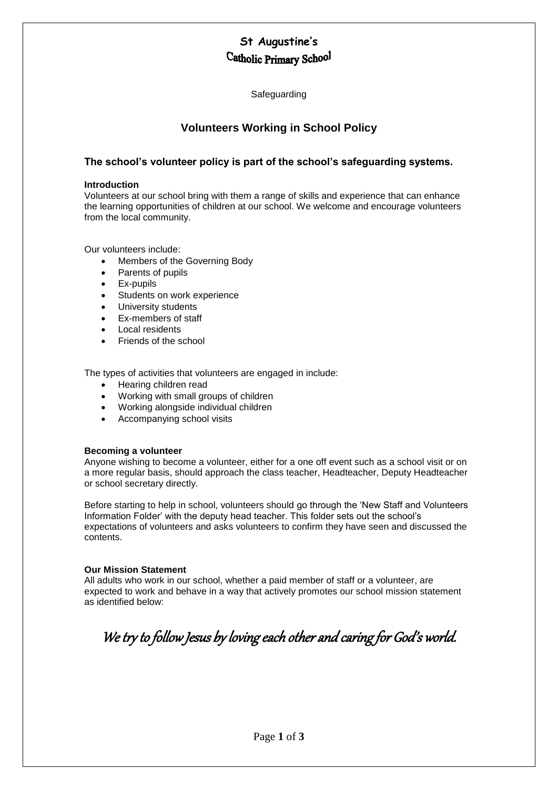## **St Augustine's**  Catholic Primary School

Safeguarding

### **Volunteers Working in School Policy**

### **The school's volunteer policy is part of the school's safeguarding systems.**

#### **Introduction**

Volunteers at our school bring with them a range of skills and experience that can enhance the learning opportunities of children at our school. We welcome and encourage volunteers from the local community.

Our volunteers include:

- Members of the Governing Body
- Parents of pupils
- Ex-pupils
- Students on work experience
- University students
- Ex-members of staff
- Local residents
- Friends of the school

The types of activities that volunteers are engaged in include:

- Hearing children read
- Working with small groups of children
- Working alongside individual children
- Accompanying school visits

#### **Becoming a volunteer**

Anyone wishing to become a volunteer, either for a one off event such as a school visit or on a more regular basis, should approach the class teacher, Headteacher, Deputy Headteacher or school secretary directly.

Before starting to help in school, volunteers should go through the 'New Staff and Volunteers Information Folder' with the deputy head teacher. This folder sets out the school's expectations of volunteers and asks volunteers to confirm they have seen and discussed the contents.

#### **Our Mission Statement**

All adults who work in our school, whether a paid member of staff or a volunteer, are expected to work and behave in a way that actively promotes our school mission statement as identified below:

# We try to follow Jesus by loving each other and caring for God's world.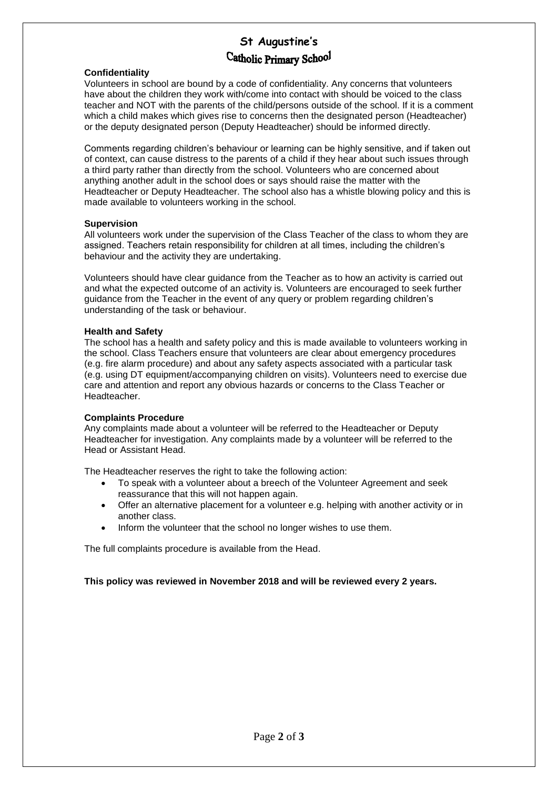# **St Augustine's**  Catholic Primary School

#### **Confidentiality**

Volunteers in school are bound by a code of confidentiality. Any concerns that volunteers have about the children they work with/come into contact with should be voiced to the class teacher and NOT with the parents of the child/persons outside of the school. If it is a comment which a child makes which gives rise to concerns then the designated person (Headteacher) or the deputy designated person (Deputy Headteacher) should be informed directly.

Comments regarding children's behaviour or learning can be highly sensitive, and if taken out of context, can cause distress to the parents of a child if they hear about such issues through a third party rather than directly from the school. Volunteers who are concerned about anything another adult in the school does or says should raise the matter with the Headteacher or Deputy Headteacher. The school also has a whistle blowing policy and this is made available to volunteers working in the school.

#### **Supervision**

All volunteers work under the supervision of the Class Teacher of the class to whom they are assigned. Teachers retain responsibility for children at all times, including the children's behaviour and the activity they are undertaking.

Volunteers should have clear guidance from the Teacher as to how an activity is carried out and what the expected outcome of an activity is. Volunteers are encouraged to seek further guidance from the Teacher in the event of any query or problem regarding children's understanding of the task or behaviour.

#### **Health and Safety**

The school has a health and safety policy and this is made available to volunteers working in the school. Class Teachers ensure that volunteers are clear about emergency procedures (e.g. fire alarm procedure) and about any safety aspects associated with a particular task (e.g. using DT equipment/accompanying children on visits). Volunteers need to exercise due care and attention and report any obvious hazards or concerns to the Class Teacher or Headteacher.

#### **Complaints Procedure**

Any complaints made about a volunteer will be referred to the Headteacher or Deputy Headteacher for investigation. Any complaints made by a volunteer will be referred to the Head or Assistant Head.

The Headteacher reserves the right to take the following action:

- To speak with a volunteer about a breech of the Volunteer Agreement and seek reassurance that this will not happen again.
- Offer an alternative placement for a volunteer e.g. helping with another activity or in another class.
- Inform the volunteer that the school no longer wishes to use them.

The full complaints procedure is available from the Head.

#### **This policy was reviewed in November 2018 and will be reviewed every 2 years.**